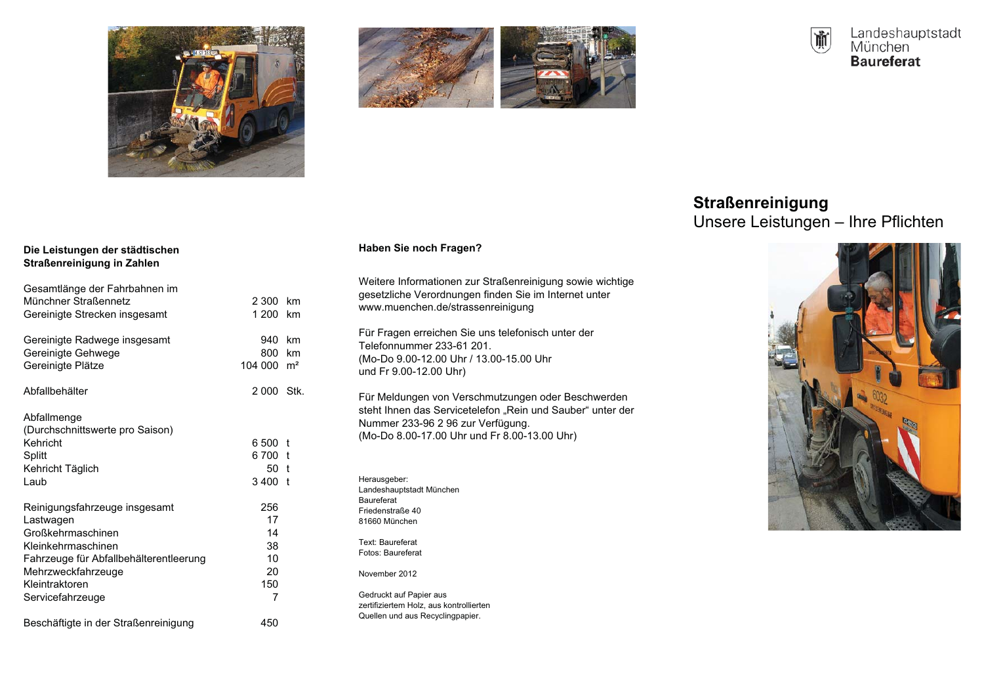





# **Straßenreinigung**

Unsere Leistungen - Ihre Pflichten



## Die Leistungen der städtischen Straßenreinigung in Zahlen

| Gesamtlänge der Fahrbahnen im<br>Münchner Straßennetz<br>Gereinigte Strecken insgesamt                                                                                                      | 2 300<br>1 200                                | km<br>km |
|---------------------------------------------------------------------------------------------------------------------------------------------------------------------------------------------|-----------------------------------------------|----------|
| Gereinigte Radwege insgesamt<br>Gereinigte Gehwege<br>Gereinigte Plätze                                                                                                                     | 940<br>800-<br>$104000$ m <sup>2</sup>        | km<br>km |
| Abfallbehälter                                                                                                                                                                              | 2000 Stk.                                     |          |
| Abfallmenge<br>(Durchschnittswerte pro Saison)<br>Kehricht<br>Splitt<br>Kehricht Täglich<br>Laub                                                                                            | 6.500<br>6700 t<br>50 t<br>$3,400$ t          | t        |
| Reinigungsfahrzeuge insgesamt<br>Lastwagen<br>Großkehrmaschinen<br>Kleinkehrmaschinen<br>Fahrzeuge für Abfallbehälterentleerung<br>Mehrzweckfahrzeuge<br>Kleintraktoren<br>Servicefahrzeuge | 256<br>17<br>14<br>38<br>10<br>20<br>150<br>7 |          |
| Beschäftigte in der Straßenreinigung                                                                                                                                                        | 450                                           |          |

# Haben Sie noch Fragen?

Weitere Informationen zur Straßenreinigung sowie wichtige gesetzliche Verordnungen finden Sie im Internet unter www.muenchen.de/strassenreinigung

Für Fragen erreichen Sie uns telefonisch unter der Telefonnummer 233-61 201. (Mo-Do 9.00-12.00 Uhr / 13.00-15.00 Uhr und Fr 9.00-12.00 Uhr)

Für Meldungen von Verschmutzungen oder Beschwerden steht Ihnen das Servicetelefon "Rein und Sauber" unter der Nummer 233-96 2 96 zur Verfügung. (Mo-Do 8.00-17.00 Uhr und Fr 8.00-13.00 Uhr)

Herausgeber: Landeshauptstadt München Baureferat Friedenstraße 40 81660 München

Text: Baureferat Fotos: Baureferat

November 2012

Gedruckt auf Papier aus zertifiziertem Holz, aus kontrollierten Quellen und aus Recyclingpapier.